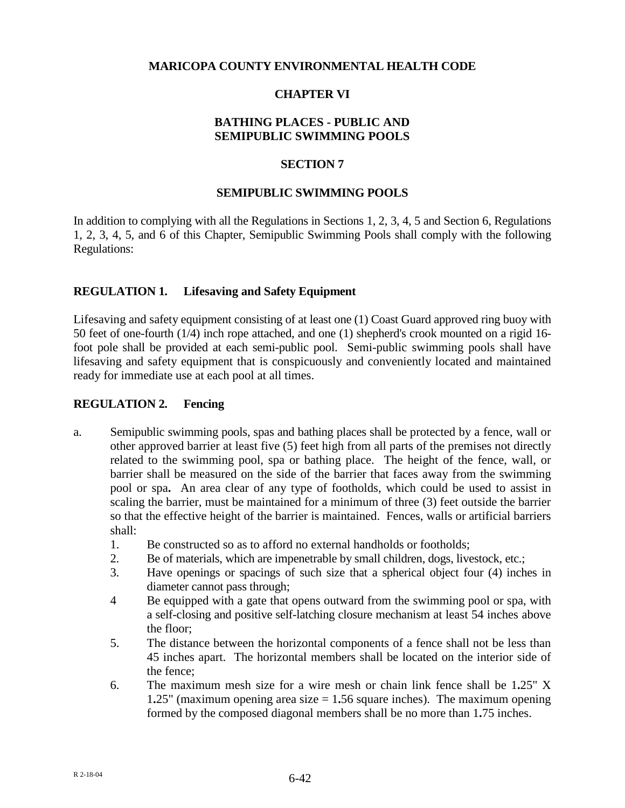## **MARICOPA COUNTY ENVIRONMENTAL HEALTH CODE**

## **CHAPTER VI**

## **BATHING PLACES - PUBLIC AND SEMIPUBLIC SWIMMING POOLS**

#### **SECTION 7**

#### **SEMIPUBLIC SWIMMING POOLS**

In addition to complying with all the Regulations in Sections 1, 2, 3, 4, 5 and Section 6, Regulations 1, 2, 3, 4, 5, and 6 of this Chapter, Semipublic Swimming Pools shall comply with the following Regulations:

#### **REGULATION 1. Lifesaving and Safety Equipment**

Lifesaving and safety equipment consisting of at least one (1) Coast Guard approved ring buoy with 50 feet of one-fourth (1/4) inch rope attached, and one (1) shepherd's crook mounted on a rigid 16 foot pole shall be provided at each semi-public pool. Semi-public swimming pools shall have lifesaving and safety equipment that is conspicuously and conveniently located and maintained ready for immediate use at each pool at all times.

#### **REGULATION 2. Fencing**

- a. Semipublic swimming pools, spas and bathing places shall be protected by a fence, wall or other approved barrier at least five (5) feet high from all parts of the premises not directly related to the swimming pool, spa or bathing place. The height of the fence, wall, or barrier shall be measured on the side of the barrier that faces away from the swimming pool or spa**.** An area clear of any type of footholds, which could be used to assist in scaling the barrier, must be maintained for a minimum of three (3) feet outside the barrier so that the effective height of the barrier is maintained. Fences, walls or artificial barriers shall:
	- 1. Be constructed so as to afford no external handholds or footholds;
	- 2. Be of materials, which are impenetrable by small children, dogs, livestock, etc.;
	- 3. Have openings or spacings of such size that a spherical object four (4) inches in diameter cannot pass through;
	- 4 Be equipped with a gate that opens outward from the swimming pool or spa, with a self-closing and positive self-latching closure mechanism at least 54 inches above the floor;
	- 5. The distance between the horizontal components of a fence shall not be less than 45 inches apart. The horizontal members shall be located on the interior side of the fence;
	- 6. The maximum mesh size for a wire mesh or chain link fence shall be 1**.**25" X 1**.**25" (maximum opening area size = 1**.**56 square inches). The maximum opening formed by the composed diagonal members shall be no more than 1**.**75 inches.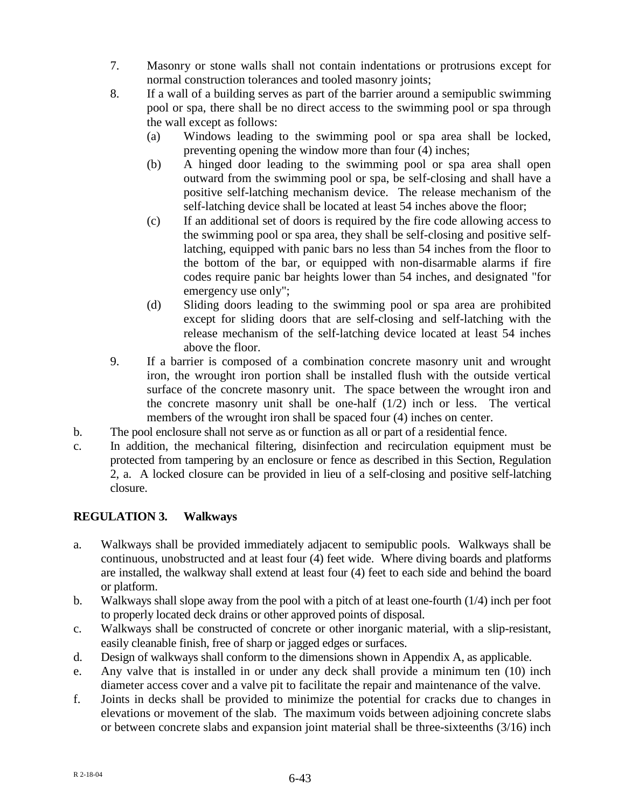- 7. Masonry or stone walls shall not contain indentations or protrusions except for normal construction tolerances and tooled masonry joints;
- 8. If a wall of a building serves as part of the barrier around a semipublic swimming pool or spa, there shall be no direct access to the swimming pool or spa through the wall except as follows:
	- (a) Windows leading to the swimming pool or spa area shall be locked, preventing opening the window more than four (4) inches;
	- (b) A hinged door leading to the swimming pool or spa area shall open outward from the swimming pool or spa, be self-closing and shall have a positive self-latching mechanism device. The release mechanism of the self-latching device shall be located at least 54 inches above the floor;
	- (c) If an additional set of doors is required by the fire code allowing access to the swimming pool or spa area, they shall be self-closing and positive selflatching, equipped with panic bars no less than 54 inches from the floor to the bottom of the bar, or equipped with non-disarmable alarms if fire codes require panic bar heights lower than 54 inches, and designated "for emergency use only";
	- (d) Sliding doors leading to the swimming pool or spa area are prohibited except for sliding doors that are self-closing and self-latching with the release mechanism of the self-latching device located at least 54 inches above the floor.
- 9. If a barrier is composed of a combination concrete masonry unit and wrought iron, the wrought iron portion shall be installed flush with the outside vertical surface of the concrete masonry unit. The space between the wrought iron and the concrete masonry unit shall be one-half  $(1/2)$  inch or less. The vertical members of the wrought iron shall be spaced four (4) inches on center.
- b. The pool enclosure shall not serve as or function as all or part of a residential fence.
- c. In addition, the mechanical filtering, disinfection and recirculation equipment must be protected from tampering by an enclosure or fence as described in this Section, Regulation 2, a. A locked closure can be provided in lieu of a self-closing and positive self-latching closure.

# **REGULATION 3. Walkways**

- a. Walkways shall be provided immediately adjacent to semipublic pools. Walkways shall be continuous, unobstructed and at least four (4) feet wide. Where diving boards and platforms are installed, the walkway shall extend at least four (4) feet to each side and behind the board or platform.
- b. Walkways shall slope away from the pool with a pitch of at least one-fourth (1/4) inch per foot to properly located deck drains or other approved points of disposal.
- c. Walkways shall be constructed of concrete or other inorganic material, with a slip-resistant, easily cleanable finish, free of sharp or jagged edges or surfaces.
- d. Design of walkways shall conform to the dimensions shown in Appendix A, as applicable.
- e. Any valve that is installed in or under any deck shall provide a minimum ten (10) inch diameter access cover and a valve pit to facilitate the repair and maintenance of the valve.
- f. Joints in decks shall be provided to minimize the potential for cracks due to changes in elevations or movement of the slab. The maximum voids between adjoining concrete slabs or between concrete slabs and expansion joint material shall be three-sixteenths (3/16) inch